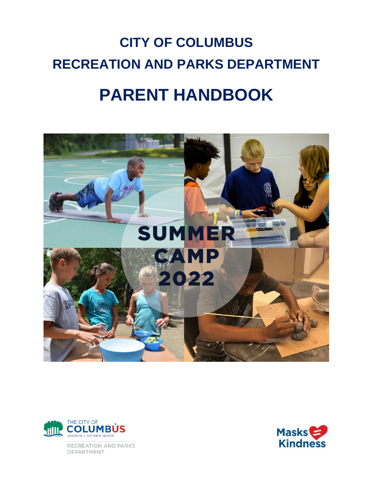# **CITY OF COLUMBUS RECREATION AND PARKS DEPARTMENT PARENT HANDBOOK**





RECREATION AND PARKS DEPARTMENT

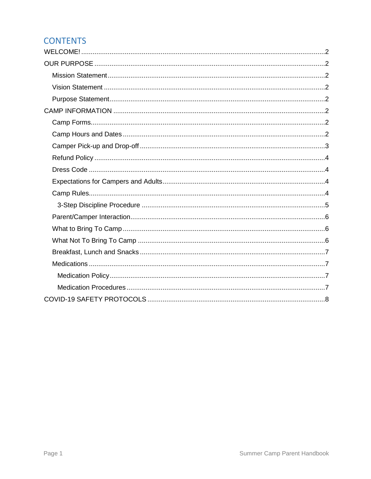#### **CONTENTS**

<span id="page-1-0"></span>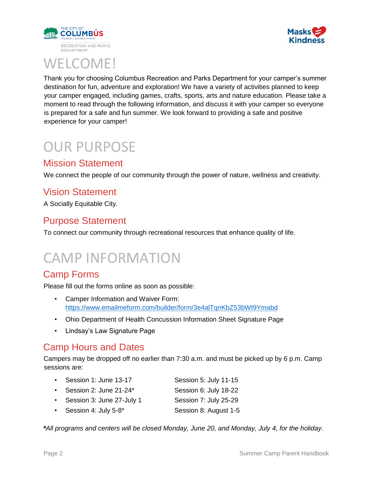



# WELCOME!

Thank you for choosing Columbus Recreation and Parks Department for your camper's summer destination for fun, adventure and exploration! We have a variety of activities planned to keep your camper engaged, including games, crafts, sports, arts and nature education. Please take a moment to read through the following information, and discuss it with your camper so everyone is prepared for a safe and fun summer. We look forward to providing a safe and positive experience for your camper!

# <span id="page-2-0"></span>OUR PURPOSE

#### <span id="page-2-1"></span>Mission Statement

We connect the people of our community through the power of nature, wellness and creativity.

#### <span id="page-2-2"></span>Vision Statement

A Socially Equitable City.

#### <span id="page-2-3"></span>Purpose Statement

To connect our community through recreational resources that enhance quality of life.

# <span id="page-2-4"></span>CAMP INFORMATION

#### <span id="page-2-5"></span>Camp Forms

Please fill out the forms online as soon as possible:

- Camper Information and Waiver Form: <https://www.emailmeform.com/builder/form/3e4alTqnKbZ53bWt9Ymabd>
- Ohio Department of Health Concussion Information Sheet Signature Page
- Lindsay's Law Signature Page

#### <span id="page-2-6"></span>Camp Hours and Dates

Campers may be dropped off no earlier than 7:30 a.m. and must be picked up by 6 p.m. Camp sessions are:

- Session 1: June 13-17 Session 5: July 11-15 • Session 2: June 21-24\* Session 6: July 18-22
- Session 3: June 27-July 1 Session 7: July 25-29
- Session 4: July 5-8\* Session 8: August 1-5

*\*All programs and centers will be closed Monday, June 20, and Monday, July 4, for the holiday.*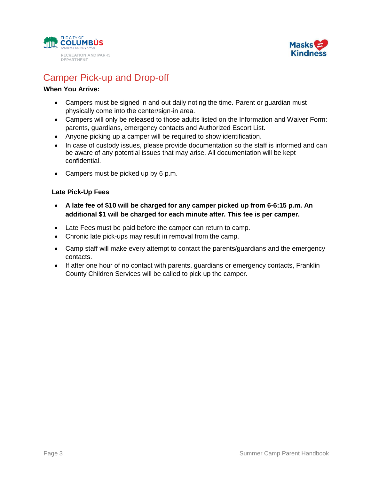



### <span id="page-3-0"></span>Camper Pick-up and Drop-off

#### **When You Arrive:**

- Campers must be signed in and out daily noting the time. Parent or guardian must physically come into the center/sign-in area.
- Campers will only be released to those adults listed on the Information and Waiver Form: parents, guardians, emergency contacts and Authorized Escort List.
- Anyone picking up a camper will be required to show identification.
- In case of custody issues, please provide documentation so the staff is informed and can be aware of any potential issues that may arise. All documentation will be kept confidential.
- Campers must be picked up by 6 p.m.

#### **Late Pick-Up Fees**

- **A late fee of \$10 will be charged for any camper picked up from 6-6:15 p.m. An additional \$1 will be charged for each minute after. This fee is per camper.**
- Late Fees must be paid before the camper can return to camp.
- Chronic late pick-ups may result in removal from the camp.
- Camp staff will make every attempt to contact the parents/guardians and the emergency contacts.
- If after one hour of no contact with parents, guardians or emergency contacts, Franklin County Children Services will be called to pick up the camper.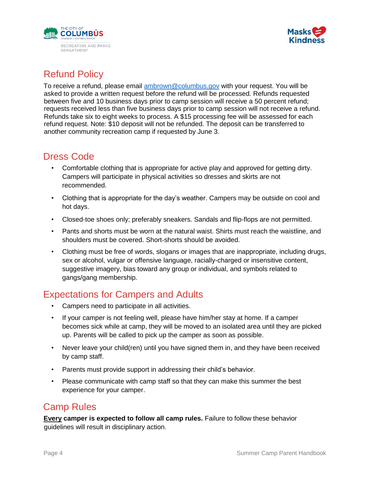



## <span id="page-4-0"></span>Refund Policy

To receive a refund, please email [ambrown@columbus.gov](mailto:ambrown@columbus.gov) with your request. You will be asked to provide a written request before the refund will be processed. Refunds requested between five and 10 business days prior to camp session will receive a 50 percent refund; requests received less than five business days prior to camp session will not receive a refund. Refunds take six to eight weeks to process. A \$15 processing fee will be assessed for each refund request. Note: \$10 deposit will not be refunded. The deposit can be transferred to another community recreation camp if requested by June 3.

#### <span id="page-4-1"></span>Dress Code

- Comfortable clothing that is appropriate for active play and approved for getting dirty. Campers will participate in physical activities so dresses and skirts are not recommended.
- Clothing that is appropriate for the day's weather. Campers may be outside on cool and hot days.
- Closed-toe shoes only; preferably sneakers. Sandals and flip-flops are not permitted.
- Pants and shorts must be worn at the natural waist. Shirts must reach the waistline, and shoulders must be covered. Short-shorts should be avoided.
- Clothing must be free of words, slogans or images that are inappropriate, including drugs, sex or alcohol, vulgar or offensive language, racially-charged or insensitive content, suggestive imagery, bias toward any group or individual, and symbols related to gangs/gang membership.

### <span id="page-4-2"></span>Expectations for Campers and Adults

- Campers need to participate in all activities.
- If your camper is not feeling well, please have him/her stay at home. If a camper becomes sick while at camp, they will be moved to an isolated area until they are picked up. Parents will be called to pick up the camper as soon as possible.
- Never leave your child(ren) until you have signed them in, and they have been received by camp staff.
- Parents must provide support in addressing their child's behavior.
- Please communicate with camp staff so that they can make this summer the best experience for your camper.

### <span id="page-4-3"></span>Camp Rules

**Every camper is expected to follow all camp rules.** Failure to follow these behavior guidelines will result in disciplinary action.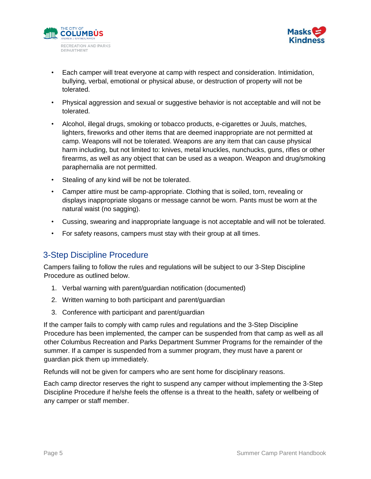



- Each camper will treat everyone at camp with respect and consideration. Intimidation, bullying, verbal, emotional or physical abuse, or destruction of property will not be tolerated.
- Physical aggression and sexual or suggestive behavior is not acceptable and will not be tolerated.
- Alcohol, illegal drugs, smoking or tobacco products, e-cigarettes or Juuls, matches, lighters, fireworks and other items that are deemed inappropriate are not permitted at camp. Weapons will not be tolerated. Weapons are any item that can cause physical harm including, but not limited to: knives, metal knuckles, nunchucks, guns, rifles or other firearms, as well as any object that can be used as a weapon. Weapon and drug/smoking paraphernalia are not permitted.
- Stealing of any kind will be not be tolerated.
- Camper attire must be camp-appropriate. Clothing that is soiled, torn, revealing or displays inappropriate slogans or message cannot be worn. Pants must be worn at the natural waist (no sagging).
- Cussing, swearing and inappropriate language is not acceptable and will not be tolerated.
- For safety reasons, campers must stay with their group at all times.

#### <span id="page-5-0"></span>3-Step Discipline Procedure

Campers failing to follow the rules and regulations will be subject to our 3-Step Discipline Procedure as outlined below.

- 1. Verbal warning with parent/guardian notification (documented)
- 2. Written warning to both participant and parent/guardian
- 3. Conference with participant and parent/guardian

If the camper fails to comply with camp rules and regulations and the 3-Step Discipline Procedure has been implemented, the camper can be suspended from that camp as well as all other Columbus Recreation and Parks Department Summer Programs for the remainder of the summer. If a camper is suspended from a summer program, they must have a parent or guardian pick them up immediately.

Refunds will not be given for campers who are sent home for disciplinary reasons.

Each camp director reserves the right to suspend any camper without implementing the 3-Step Discipline Procedure if he/she feels the offense is a threat to the health, safety or wellbeing of any camper or staff member.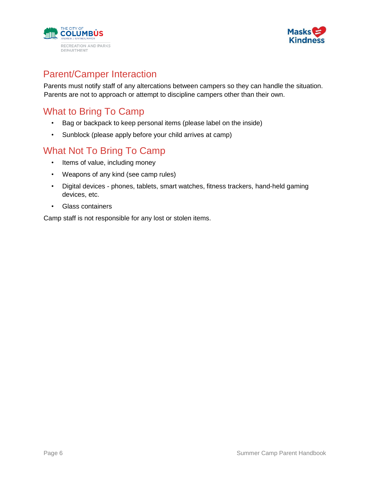



#### <span id="page-6-0"></span>Parent/Camper Interaction

Parents must notify staff of any altercations between campers so they can handle the situation. Parents are not to approach or attempt to discipline campers other than their own.

### <span id="page-6-1"></span>What to Bring To Camp

- Bag or backpack to keep personal items (please label on the inside)
- Sunblock (please apply before your child arrives at camp)

#### <span id="page-6-2"></span>What Not To Bring To Camp

- Items of value, including money
- Weapons of any kind (see camp rules)
- Digital devices phones, tablets, smart watches, fitness trackers, hand-held gaming devices, etc.
- Glass containers

Camp staff is not responsible for any lost or stolen items.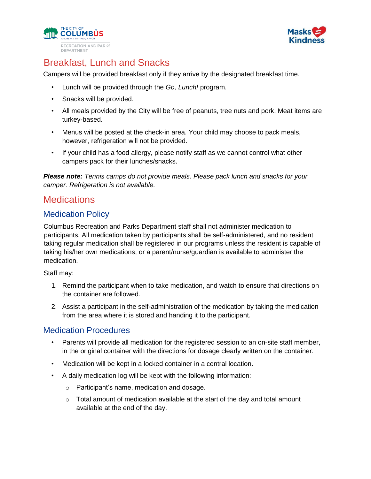



## <span id="page-7-0"></span>Breakfast, Lunch and Snacks

Campers will be provided breakfast only if they arrive by the designated breakfast time.

- Lunch will be provided through the *Go, Lunch!* program.
- Snacks will be provided.
- All meals provided by the City will be free of peanuts, tree nuts and pork. Meat items are turkey-based.
- Menus will be posted at the check-in area. Your child may choose to pack meals, however, refrigeration will not be provided.
- If your child has a food allergy, please notify staff as we cannot control what other campers pack for their lunches/snacks.

*Please note: Tennis camps do not provide meals. Please pack lunch and snacks for your camper. Refrigeration is not available.*

#### <span id="page-7-1"></span>**Medications**

#### <span id="page-7-2"></span>Medication Policy

Columbus Recreation and Parks Department staff shall not administer medication to participants. All medication taken by participants shall be self-administered, and no resident taking regular medication shall be registered in our programs unless the resident is capable of taking his/her own medications, or a parent/nurse/guardian is available to administer the medication.

Staff may:

- 1. Remind the participant when to take medication, and watch to ensure that directions on the container are followed.
- 2. Assist a participant in the self-administration of the medication by taking the medication from the area where it is stored and handing it to the participant.

#### <span id="page-7-3"></span>Medication Procedures

- Parents will provide all medication for the registered session to an on-site staff member, in the original container with the directions for dosage clearly written on the container.
- Medication will be kept in a locked container in a central location.
- A daily medication log will be kept with the following information:
	- o Participant's name, medication and dosage.
	- $\circ$  Total amount of medication available at the start of the day and total amount available at the end of the day.